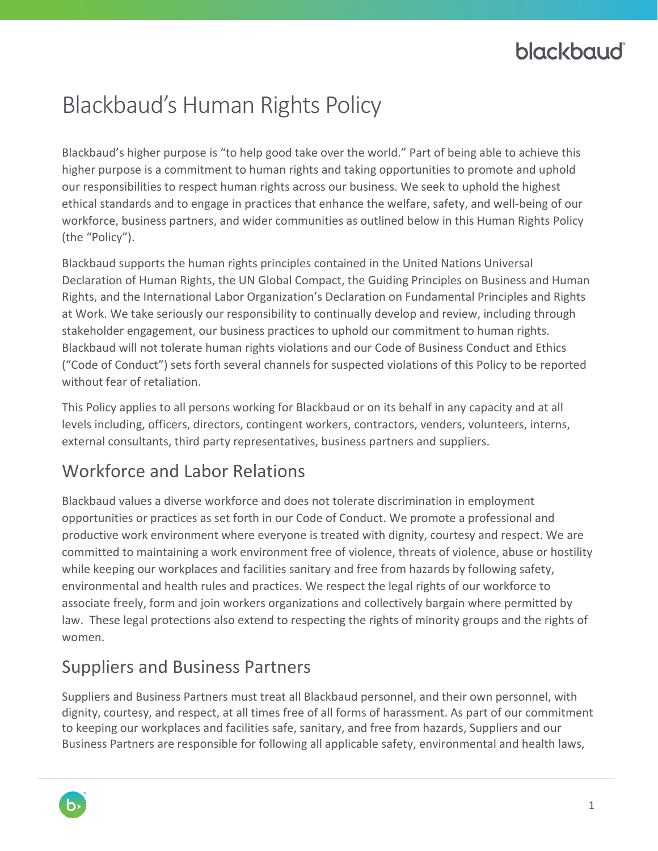# **blackbaud**

# Blackbaud's Human Rights Policy

Blackbaud's higher purpose is "to help good take over the world." Part of being able to achieve this higher purpose is a commitment to human rights and taking opportunities to promote and uphold our responsibilities to respect human rights across our business. We seek to uphold the highest ethical standards and to engage in practices that enhance the welfare, safety, and well-being of our workforce, business partners, and wider communities as outlined below in this Human Rights Policy (the "Policy").

Blackbaud supports the human rights principles contained in the United Nations Universal Declaration of Human Rights, the UN Global Compact, the Guiding Principles on Business and Human Rights, and the International Labor Organization's Declaration on Fundamental Principles and Rights at Work. We take seriously our responsibility to continually develop and review, including through stakeholder engagement, our business practices to uphold our commitment to human rights. Blackbaud will not tolerate human rights violations and our Code of Business Conduct and Ethics ("Code of Conduct") sets forth several channels for suspected violations of this Policy to be reported without fear of retaliation.

This Policy applies to all persons working for Blackbaud or on its behalf in any capacity and at all levels including, officers, directors, contingent workers, contractors, venders, volunteers, interns, external consultants, third party representatives, business partners and suppliers.

### Workforce and Labor Relations

Blackbaud values a diverse workforce and does not tolerate discrimination in employment opportunities or practices as set forth in our Code of Conduct. We promote a professional and productive work environment where everyone is treated with dignity, courtesy and respect. We are committed to maintaining a work environment free of violence, threats of violence, abuse or hostility while keeping our workplaces and facilities sanitary and free from hazards by following safety, environmental and health rules and practices. We respect the legal rights of our workforce to associate freely, form and join workers organizations and collectively bargain where permitted by law. These legal protections also extend to respecting the rights of minority groups and the rights of women.

### Suppliers and Business Partners

Suppliers and Business Partners must treat all Blackbaud personnel, and their own personnel, with dignity, courtesy, and respect, at all times free of all forms of harassment. As part of our commitment to keeping our workplaces and facilities safe, sanitary, and free from hazards, Suppliers and our Business Partners are responsible for following all applicable safety, environmental and health laws,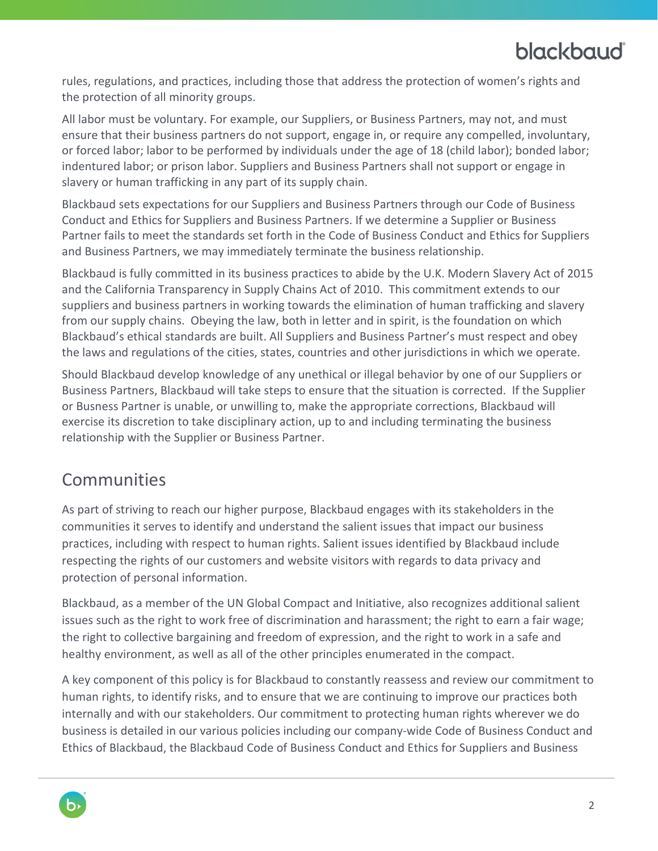## **blackbaud**

rules, regulations, and practices, including those that address the protection of women's rights and the protection of all minority groups.

All labor must be voluntary. For example, our Suppliers, or Business Partners, may not, and must ensure that their business partners do not support, engage in, or require any compelled, involuntary, or forced labor; labor to be performed by individuals under the age of 18 (child labor); bonded labor; indentured labor; or prison labor. Suppliers and Business Partners shall not support or engage in slavery or human trafficking in any part of its supply chain.

Blackbaud sets expectations for our Suppliers and Business Partners through our Code of Business Conduct and Ethics for Suppliers and Business Partners. If we determine a Supplier or Business Partner fails to meet the standards set forth in the Code of Business Conduct and Ethics for Suppliers and Business Partners, we may immediately terminate the business relationship.

Blackbaud is fully committed in its business practices to abide by the U.K. Modern Slavery Act of 2015 and the California Transparency in Supply Chains Act of 2010. This commitment extends to our suppliers and business partners in working towards the elimination of human trafficking and slavery from our supply chains. Obeying the law, both in letter and in spirit, is the foundation on which Blackbaud's ethical standards are built. All Suppliers and Business Partner's must respect and obey the laws and regulations of the cities, states, countries and other jurisdictions in which we operate.

Should Blackbaud develop knowledge of any unethical or illegal behavior by one of our Suppliers or Business Partners, Blackbaud will take steps to ensure that the situation is corrected. If the Supplier or Busness Partner is unable, or unwilling to, make the appropriate corrections, Blackbaud will exercise its discretion to take disciplinary action, up to and including terminating the business relationship with the Supplier or Business Partner.

#### **Communities**

As part of striving to reach our higher purpose, Blackbaud engages with its stakeholders in the communities it serves to identify and understand the salient issues that impact our business practices, including with respect to human rights. Salient issues identified by Blackbaud include respecting the rights of our customers and website visitors with regards to data privacy and protection of personal information.

Blackbaud, as a member of the UN Global Compact and Initiative, also recognizes additional salient issues such as the right to work free of discrimination and harassment; the right to earn a fair wage; the right to collective bargaining and freedom of expression, and the right to work in a safe and healthy environment, as well as all of the other principles enumerated in the compact.

A key component of this policy is for Blackbaud to constantly reassess and review our commitment to human rights, to identify risks, and to ensure that we are continuing to improve our practices both internally and with our stakeholders. Our commitment to protecting human rights wherever we do business is detailed in our various policies including our company-wide Code of Business Conduct and Ethics of Blackbaud, the Blackbaud Code of Business Conduct and Ethics for Suppliers and Business